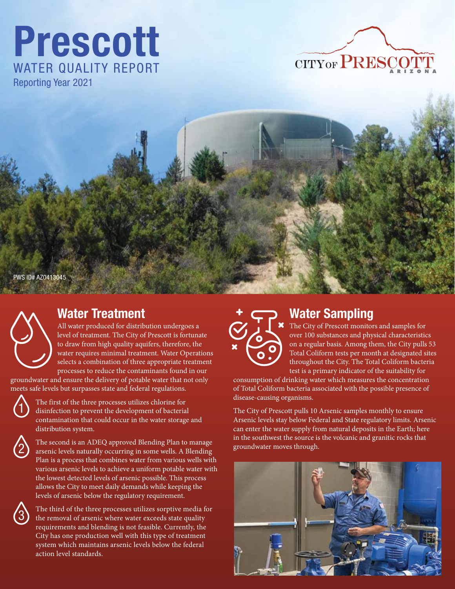# Prescott WATER QUALITY REPORT Reporting Year 2021







# Water Treatment

All water produced for distribution undergoes a level of treatment. The City of Prescott is fortunate to draw from high quality aquifers, therefore, the water requires minimal treatment. Water Operations selects a combination of three appropriate treatment processes to reduce the contaminants found in our

groundwater and ensure the delivery of potable water that not only meets safe levels but surpasses state and federal regulations.



The first of the three processes utilizes chlorine for disinfection to prevent the development of bacterial contamination that could occur in the water storage and distribution system.



The second is an ADEQ approved Blending Plan to manage arsenic levels naturally occurring in some wells. A Blending Plan is a process that combines water from various wells with various arsenic levels to achieve a uniform potable water with the lowest detected levels of arsenic possible. This process allows the City to meet daily demands while keeping the levels of arsenic below the regulatory requirement.



The third of the three processes utilizes sorptive media for the removal of arsenic where water exceeds state quality requirements and blending is not feasible. Currently, the City has one production well with this type of treatment system which maintains arsenic levels below the federal action level standards.



# Water Sampling

The City of Prescott monitors and samples for over 100 substances and physical characteristics on a regular basis. Among them, the City pulls 53 Total Coliform tests per month at designated sites throughout the City. The Total Coliform bacteria test is a primary indicator of the suitability for

consumption of drinking water which measures the concentration of Total Coliform bacteria associated with the possible presence of disease-causing organisms.

The City of Prescott pulls 10 Arsenic samples monthly to ensure Arsenic levels stay below Federal and State regulatory limits. Arsenic can enter the water supply from natural deposits in the Earth; here in the southwest the source is the volcanic and granitic rocks that groundwater moves through.

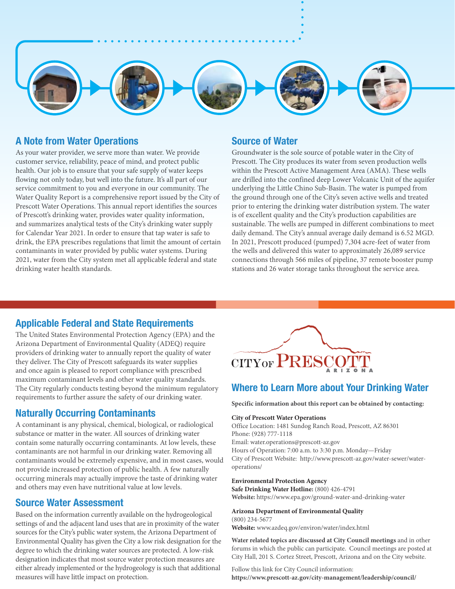

## A Note from Water Operations

As your water provider, we serve more than water. We provide customer service, reliability, peace of mind, and protect public health. Our job is to ensure that your safe supply of water keeps flowing not only today, but well into the future. It's all part of our service commitment to you and everyone in our community. The Water Quality Report is a comprehensive report issued by the City of Prescott Water Operations. This annual report identifies the sources of Prescott's drinking water, provides water quality information, and summarizes analytical tests of the City's drinking water supply for Calendar Year 2021. In order to ensure that tap water is safe to drink, the EPA prescribes regulations that limit the amount of certain contaminants in water provided by public water systems. During 2021, water from the City system met all applicable federal and state drinking water health standards.

## Source of Water

Groundwater is the sole source of potable water in the City of Prescott. The City produces its water from seven production wells within the Prescott Active Management Area (AMA). These wells are drilled into the confined deep Lower Volcanic Unit of the aquifer underlying the Little Chino Sub-Basin. The water is pumped from the ground through one of the City's seven active wells and treated prior to entering the drinking water distribution system. The water is of excellent quality and the City's production capabilities are sustainable. The wells are pumped in different combinations to meet daily demand. The City's annual average daily demand is 6.52 MGD. In 2021, Prescott produced (pumped) 7,304 acre-feet of water from the wells and delivered this water to approximately 26,089 service connections through 566 miles of pipeline, 37 remote booster pump stations and 26 water storage tanks throughout the service area.

## Applicable Federal and State Requirements

The United States Environmental Protection Agency (EPA) and the Arizona Department of Environmental Quality (ADEQ) require providers of drinking water to annually report the quality of water they deliver. The City of Prescott safeguards its water supplies and once again is pleased to report compliance with prescribed maximum contaminant levels and other water quality standards. The City regularly conducts testing beyond the minimum regulatory requirements to further assure the safety of our drinking water.

## Naturally Occurring Contaminants

A contaminant is any physical, chemical, biological, or radiological substance or matter in the water. All sources of drinking water contain some naturally occurring contaminants. At low levels, these contaminants are not harmful in our drinking water. Removing all contaminants would be extremely expensive, and in most cases, would not provide increased protection of public health. A few naturally occurring minerals may actually improve the taste of drinking water and others may even have nutritional value at low levels.

## Source Water Assessment

Based on the information currently available on the hydrogeological settings of and the adjacent land uses that are in proximity of the water sources for the City's public water system, the Arizona Department of Environmental Quality has given the City a low risk designation for the degree to which the drinking water sources are protected. A low-risk designation indicates that most source water protection measures are either already implemented or the hydrogeology is such that additional measures will have little impact on protection.



## Where to Learn More about Your Drinking Water

**Specific information about this report can be obtained by contacting:**

#### **City of Prescott Water Operations**

Office Location: 1481 Sundog Ranch Road, Prescott, AZ 86301 Phone: (928) 777-1118 Email: water.operations@prescott-az.gov Hours of Operation: 7:00 a.m. to 3:30 p.m. Monday—Friday City of Prescott Website: http://www.prescott-az.gov/water-sewer/wateroperations/

#### **Environmental Protection Agency**

**Safe Drinking Water Hotline:** (800) 426-4791 **Website:** https://www.epa.gov/ground-water-and-drinking-water

#### **Arizona Department of Environmental Quality**

(800) 234-5677 **Website:** www.azdeq.gov/environ/water/index.html

**Water related topics are discussed at City Council meetings** and in other forums in which the public can participate. Council meetings are posted at City Hall, 201 S. Cortez Street, Prescott, Arizona and on the City website.

Follow this link for City Council information: **https://www.prescott-az.gov/city-management/leadership/council/**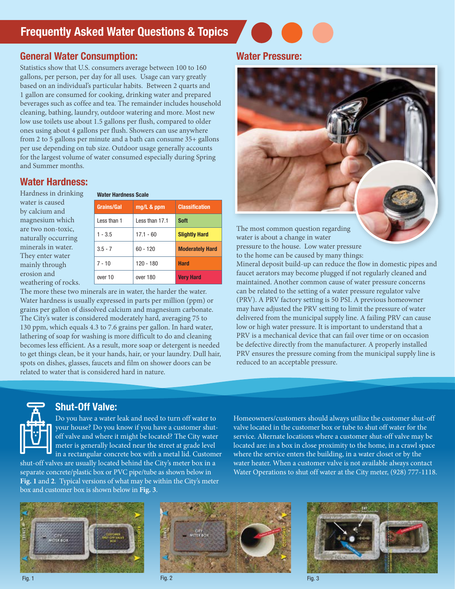# Frequently Asked Water Questions & Topics

## General Water Consumption:

Statistics show that U.S. consumers average between 100 to 160 gallons, per person, per day for all uses. Usage can vary greatly based on an individual's particular habits. Between 2 quarts and 1 gallon are consumed for cooking, drinking water and prepared beverages such as coffee and tea. The remainder includes household cleaning, bathing, laundry, outdoor watering and more. Most new low use toilets use about 1.5 gallons per flush, compared to older ones using about 4 gallons per flush. Showers can use anywhere from 2 to 5 gallons per minute and a bath can consume 35+ gallons per use depending on tub size. Outdoor usage generally accounts for the largest volume of water consumed especially during Spring and Summer months.

## Water Hardness:

Hardness in drinking water is caused by calcium and magnesium which are two non-toxic, naturally occurring minerals in water. They enter water mainly through erosion and weathering of rocks.

#### Water Hardness Scale

| Grains/Gal  | mg/L & ppm     | <b>Classification</b>  |
|-------------|----------------|------------------------|
| Less than 1 | Less than 17.1 | <b>Soft</b>            |
| $1 - 3.5$   | $17.1 - 60$    | <b>Slightly Hard</b>   |
| $3.5 - 7$   | $60 - 120$     | <b>Moderately Hard</b> |
| $7 - 10$    | $120 - 180$    | <b>Hard</b>            |
| over 10     | over 180       | <b>Very Hard</b>       |

The more these two minerals are in water, the harder the water. Water hardness is usually expressed in parts per million (ppm) or grains per gallon of dissolved calcium and magnesium carbonate. The City's water is considered moderately hard, averaging 75 to 130 ppm, which equals 4.3 to 7.6 grains per gallon. In hard water, lathering of soap for washing is more difficult to do and cleaning becomes less efficient. As a result, more soap or detergent is needed to get things clean, be it your hands, hair, or your laundry. Dull hair, spots on dishes, glasses, faucets and film on shower doors can be related to water that is considered hard in nature.

## Water Pressure:



water is about a change in water pressure to the house. Low water pressure to the home can be caused by many things:

Mineral deposit build-up can reduce the flow in domestic pipes and faucet aerators may become plugged if not regularly cleaned and maintained. Another common cause of water pressure concerns can be related to the setting of a water pressure regulator valve (PRV). A PRV factory setting is 50 PSI. A previous homeowner may have adjusted the PRV setting to limit the pressure of water delivered from the municipal supply line. A failing PRV can cause low or high water pressure. It is important to understand that a PRV is a mechanical device that can fail over time or on occasion be defective directly from the manufacturer. A properly installed PRV ensures the pressure coming from the municipal supply line is reduced to an acceptable pressure.



## Shut-Off Valve:

Do you have a water leak and need to turn off water to your house? Do you know if you have a customer shutoff valve and where it might be located? The City water meter is generally located near the street at grade level in a rectangular concrete box with a metal lid. Customer

shut-off valves are usually located behind the City's meter box in a separate concrete/plastic box or PVC pipe/tube as shown below in **Fig. 1** and **2**. Typical versions of what may be within the City's meter box and customer box is shown below in **Fig. 3**.

Homeowners/customers should always utilize the customer shut-off valve located in the customer box or tube to shut off water for the service. Alternate locations where a customer shut-off valve may be located are: in a box in close proximity to the home, in a crawl space where the service enters the building, in a water closet or by the water heater. When a customer valve is not available always contact Water Operations to shut off water at the City meter, (928) 777-1118.





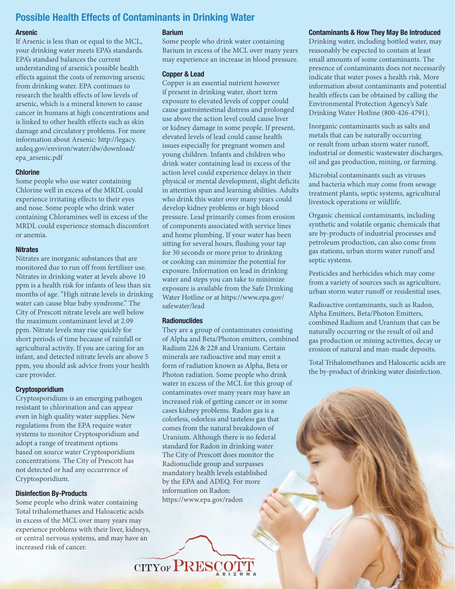## Possible Health Effects of Contaminants in Drinking Water

#### Arsenic

If Arsenic is less than or equal to the MCL, your drinking water meets EPA's standards. EPA's standard balances the current understanding of arsenic's possible health effects against the costs of removing arsenic from drinking water. EPA continues to research the health effects of low levels of arsenic, which is a mineral known to cause cancer in humans at high concentrations and is linked to other health effects such as skin damage and circulatory problems. For more information about Arsenic: http://legacy. azdeq.gov/environ/water/dw/download/ epa\_arsenic.pdf

#### **Chlorine**

Some people who use water containing Chlorine well in excess of the MRDL could experience irritating effects to their eyes and nose. Some people who drink water containing Chloramines well in excess of the MRDL could experience stomach discomfort or anemia.

### **Nitrates**

Nitrates are inorganic substances that are monitored due to run off from fertilizer use. Nitrates in drinking water at levels above 10 ppm is a health risk for infants of less than six months of age. "High nitrate levels in drinking water can cause blue baby syndrome." The City of Prescott nitrate levels are well below the maximum contaminant level at 2.09 ppm. Nitrate levels may rise quickly for short periods of time because of rainfall or agricultural activity. If you are caring for an infant, and detected nitrate levels are above 5 ppm, you should ask advice from your health care provider.

#### Cryptosporidium

Cryptosporidium is an emerging pathogen resistant to chlorination and can appear even in high quality water supplies. New regulations from the EPA require water systems to monitor Cryptosporidium and adopt a range of treatment options based on source water Cryptosporidium concentrations. The City of Prescott has not detected or had any occurrence of Cryptosporidium.

## Disinfection By-Products

Some people who drink water containing Total trihalomethanes and Haloacetic acids in excess of the MCL over many years may experience problems with their liver, kidneys, or central nervous systems, and may have an increased risk of cancer.

### Barium

Some people who drink water containing Barium in excess of the MCL over many years may experience an increase in blood pressure.

#### Copper & Lead

Copper is an essential nutrient however if present in drinking water, short term exposure to elevated levels of copper could cause gastrointestinal distress and prolonged use above the action level could cause liver or kidney damage in some people. If present, elevated levels of lead could cause health issues especially for pregnant women and young children. Infants and children who drink water containing lead in excess of the action level could experience delays in their physical or mental development, slight deficits in attention span and learning abilities. Adults who drink this water over many years could develop kidney problems or high blood pressure. Lead primarily comes from erosion of components associated with service lines and home plumbing. If your water has been sitting for several hours, flushing your tap for 30 seconds or more prior to drinking or cooking can minimize the potential for exposure. Information on lead in drinking water and steps you can take to minimize exposure is available from the Safe Drinking Water Hotline or at https://www.epa.gov/ safewater/lead

#### **Radionuclides**

They are a group of contaminates consisting of Alpha and Beta/Photon emitters, combined Radium 226 & 228 and Uranium. Certain minerals are radioactive and may emit a form of radiation known as Alpha, Beta or Photon radiation. Some people who drink water in excess of the MCL for this group of contaminates over many years may have an increased risk of getting cancer or in some cases kidney problems. Radon gas is a colorless, odorless and tasteless gas that comes from the natural breakdown of Uranium. Although there is no federal standard for Radon in drinking water The City of Prescott does monitor the Radionuclide group and surpasses mandatory health levels established by the EPA and ADEQ. For more information on Radon: https://www.epa.gov/radon



Drinking water, including bottled water, may reasonably be expected to contain at least small amounts of some contaminants. The presence of contaminants does not necessarily indicate that water poses a health risk. More information about contaminants and potential health effects can be obtained by calling the Environmental Protection Agency's Safe Drinking Water Hotline (800-426-4791).

Inorganic contaminants such as salts and metals that can be naturally occurring or result from urban storm water runoff, industrial or domestic wastewater discharges, oil and gas production, mining, or farming.

Microbial contaminants such as viruses and bacteria which may come from sewage treatment plants, septic systems, agricultural livestock operations or wildlife.

Organic chemical contaminants, including synthetic and volatile organic chemicals that are by-products of industrial processes and petroleum production, can also come from gas stations, urban storm water runoff and septic systems.

Pesticides and herbicides which may come from a variety of sources such as agriculture, urban storm water runoff or residential uses.

Radioactive contaminants, such as Radon, Alpha Emitters, Beta/Photon Emitters, combined Radium and Uranium that can be naturally occurring or the result of oil and gas production or mining activities, decay or erosion of natural and man-made deposits.

Total Trihalomethanes and Haloacetic acids are the by-product of drinking water disinfection.

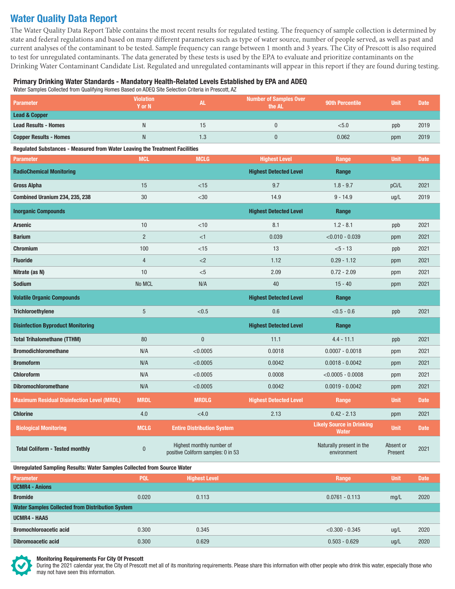## Water Quality Data Report

The Water Quality Data Report Table contains the most recent results for regulated testing. The frequency of sample collection is determined by state and federal regulations and based on many different parameters such as type of water source, number of people served, as well as past and current analyses of the contaminant to be tested. Sample frequency can range between 1 month and 3 years. The City of Prescott is also required to test for unregulated contaminants. The data generated by these tests is used by the EPA to evaluate and prioritize contaminants on the Drinking Water Contaminant Candidate List. Regulated and unregulated contaminants will appear in this report if they are found during testing.

## Primary Drinking Water Standards - Mandatory Health-Related Levels Established by EPA and ADEQ

Water Samples Collected from Qualifying Homes Based on ADEQ Site Selection Criteria in Prescott, AZ

| Parameter                                                                      | <b>Violation</b><br>Y or N | <b>AL</b>                                                       | <b>Number of Samples Over</b><br>the AL | <b>90th Percentile</b>                           | <b>Unit</b>          | <b>Date</b> |  |  |
|--------------------------------------------------------------------------------|----------------------------|-----------------------------------------------------------------|-----------------------------------------|--------------------------------------------------|----------------------|-------------|--|--|
| <b>Lead &amp; Copper</b>                                                       |                            |                                                                 |                                         |                                                  |                      |             |  |  |
| <b>Lead Results - Homes</b>                                                    | N                          | 15                                                              | $\pmb{0}$                               | < 5.0                                            | ppb                  | 2019        |  |  |
| <b>Copper Results - Homes</b>                                                  | $\mathsf{N}$               | 1.3                                                             | $\pmb{0}$                               | 0.062                                            | ppm                  | 2019        |  |  |
| Regulated Substances - Measured from Water Leaving the Treatment Facilities    |                            |                                                                 |                                         |                                                  |                      |             |  |  |
| <b>Parameter</b>                                                               | <b>MCL</b>                 | <b>MCLG</b>                                                     | <b>Highest Level</b>                    | Range                                            | <b>Unit</b>          | <b>Date</b> |  |  |
| <b>RadioChemical Monitoring</b>                                                |                            |                                                                 | <b>Highest Detected Level</b>           | Range                                            |                      |             |  |  |
| <b>Gross Alpha</b>                                                             | 15                         | $<$ 15                                                          | 9.7                                     | $1.8 - 9.7$                                      | pCi/L                | 2021        |  |  |
| Combined Uranium 234, 235, 238                                                 | $30\,$                     | $<$ 30                                                          | 14.9                                    | $9 - 14.9$                                       | ug/L                 | 2019        |  |  |
| <b>Inorganic Compounds</b>                                                     |                            |                                                                 | <b>Highest Detected Level</b>           | Range                                            |                      |             |  |  |
| Arsenic                                                                        | 10                         | $<$ 10                                                          | 8.1                                     | $1.2 - 8.1$                                      | ppb                  | 2021        |  |  |
| <b>Barium</b>                                                                  | $\overline{2}$             | <1                                                              | 0.039                                   | $<$ 0.010 - 0.039                                | ppm                  | 2021        |  |  |
| <b>Chromium</b>                                                                | 100                        | $<$ 15                                                          | 13                                      | $< 5 - 13$                                       | ppb                  | 2021        |  |  |
| <b>Fluoride</b>                                                                | $\overline{4}$             | ${<}2$                                                          | 1.12                                    | $0.29 - 1.12$                                    | ppm                  | 2021        |  |  |
| Nitrate (as N)                                                                 | 10                         | $<$ 5                                                           | 2.09                                    | $0.72 - 2.09$                                    | ppm                  | 2021        |  |  |
| Sodium                                                                         | No MCL                     | N/A                                                             | 40                                      | $15 - 40$                                        | ppm                  | 2021        |  |  |
| <b>Volatile Organic Compounds</b>                                              |                            |                                                                 | <b>Highest Detected Level</b>           | Range                                            |                      |             |  |  |
| <b>Trichloroethylene</b>                                                       | $\sqrt{5}$                 | < 0.5                                                           | 0.6                                     | $< 0.5 - 0.6$                                    | ppb                  | 2021        |  |  |
| <b>Disinfection Byproduct Monitoring</b>                                       |                            |                                                                 | <b>Highest Detected Level</b>           | Range                                            |                      |             |  |  |
| <b>Total Trihalomethane (TTHM)</b>                                             | 80                         | $\bf{0}$                                                        | 11.1                                    | $4.4 - 11.1$                                     | ppb                  | 2021        |  |  |
| <b>Bromodichloromethane</b>                                                    | N/A                        | < 0.0005                                                        | 0.0018                                  | $0.0007 - 0.0018$                                | ppm                  | 2021        |  |  |
| <b>Bromoform</b>                                                               | N/A                        | < 0.0005                                                        | 0.0042                                  | $0.0018 - 0.0042$                                | ppm                  | 2021        |  |  |
| <b>Chloroform</b>                                                              | N/A                        | < 0.0005                                                        | 0.0008                                  | $< 0.0005 - 0.0008$                              | ppm                  | 2021        |  |  |
| <b>Dibromochloromethane</b>                                                    | N/A                        | < 0.0005                                                        | 0.0042                                  | $0.0019 - 0.0042$                                | ppm                  | 2021        |  |  |
| <b>Maximum Residual Disinfection Level (MRDL)</b>                              | <b>MRDL</b>                | <b>MRDLG</b>                                                    | <b>Highest Detected Level</b>           | Range                                            | <b>Unit</b>          | <b>Date</b> |  |  |
| <b>Chlorine</b>                                                                | 4.0                        | < 4.0                                                           | 2.13                                    | $0.42 - 2.13$                                    | ppm                  | 2021        |  |  |
| <b>Biological Monitoring</b>                                                   | <b>MCLG</b>                | <b>Entire Distribution System</b>                               |                                         | <b>Likely Source in Drinking</b><br><b>Water</b> | <b>Unit</b>          | <b>Date</b> |  |  |
| <b>Total Coliform - Tested monthly</b>                                         | $\pmb{0}$                  | Highest monthly number of<br>positive Coliform samples: 0 in 53 |                                         | Naturally present in the<br>environment          | Absent or<br>Present | 2021        |  |  |
| <b>Unregulated Sampling Results: Water Samples Collected from Source Water</b> |                            |                                                                 |                                         |                                                  |                      |             |  |  |
| <b>Parameter</b>                                                               | <b>PQL</b>                 | <b>Highest Level</b>                                            |                                         | Range                                            | <b>Unit</b>          | <b>Date</b> |  |  |
| <b>UCMR4 - Anions</b><br><b>Bromide</b>                                        | 0.020                      | 0.113                                                           |                                         | $0.0761 - 0.113$                                 | mg/L                 | 2020        |  |  |
| <b>Water Samples Collected from Distribution System</b>                        |                            |                                                                 |                                         |                                                  |                      |             |  |  |
| UCMR4 - HAA5                                                                   |                            |                                                                 |                                         |                                                  |                      |             |  |  |
| <b>Bromochloroacetic acid</b>                                                  | 0.300                      | 0.345                                                           |                                         | $< 0.300 - 0.345$                                | ug/L                 | 2020        |  |  |
| <b>Dibromoacetic acid</b>                                                      | 0.300                      | 0.629                                                           |                                         | $0.503 - 0.629$                                  | ug/L                 | 2020        |  |  |
|                                                                                |                            |                                                                 |                                         |                                                  |                      |             |  |  |



#### Monitoring Requirements For City Of Prescott

During the 2021 calendar year, the City of Prescott met all of its monitoring requirements. Please share this information with other people who drink this water, especially those who may not have seen this information.